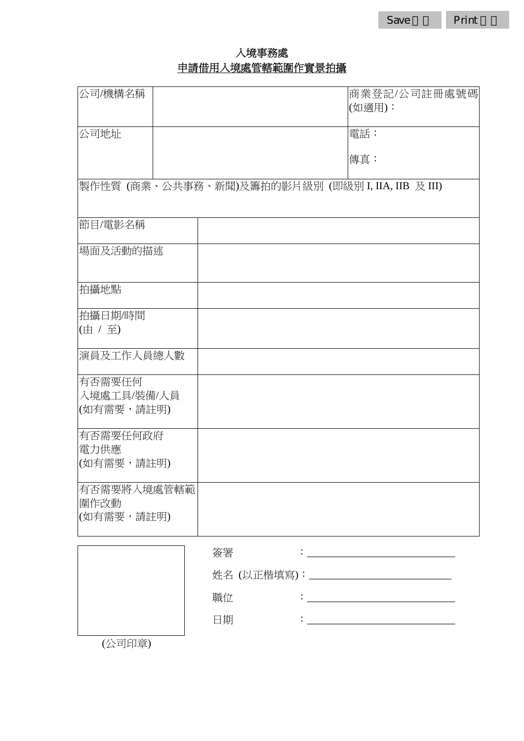# 入境事務處 申請借用入境處管轄範圍作實景拍攝

| 公司/機構名稱                                           |    |  | 商業登記/公司註冊處號碼<br>(如適用):                            |
|---------------------------------------------------|----|--|---------------------------------------------------|
| 公司地址                                              |    |  | 電話:<br>傳真:                                        |
| 製作性質 (商業、公共事務、新聞)及籌拍的影片級別 (即級別 I, IIA, IIB 及 III) |    |  |                                                   |
| 節目/電影名稱                                           |    |  |                                                   |
| 場面及活動的描述                                          |    |  |                                                   |
| 拍攝地點                                              |    |  |                                                   |
| 拍攝日期/時間<br>(由 / 至)                                |    |  |                                                   |
| 演員及工作人員總人數                                        |    |  |                                                   |
| 有否需要任何<br>入境處工具/裝備/人員<br>(如有需要,請註明)               |    |  |                                                   |
| 有否需要任何政府<br>電力供應<br>(如有需要,請註明)                    |    |  |                                                   |
| 有否需要將入境處管轄範<br>圍作改動<br>(如有需要,請註明)                 |    |  |                                                   |
|                                                   | 簽署 |  |                                                   |
|                                                   |    |  |                                                   |
|                                                   | 職位 |  | <u> 1989 - Johann Barbara, martxa alemaniar a</u> |
|                                                   | 日期 |  |                                                   |

(公司印章)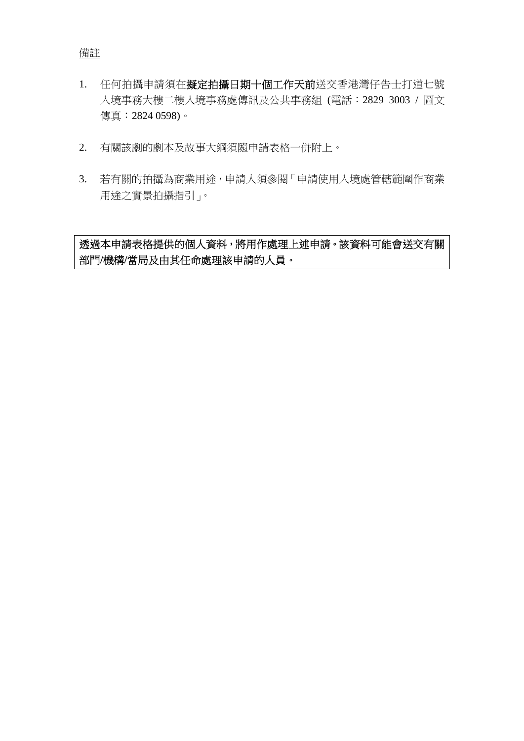- 1. 任何拍攝申請須在擬定拍攝日期十個工作天前送交香港灣仔告士打道七號 入境事務大樓二樓入境事務處傳訊及公共事務組 (電話︰2829 3003 / 圖文 傳真︰2824 0598)。
- 2. 有關該劇的劇本及故事大綱須隨申請表格一併附上。
- 3. 若有關的拍攝為商業用途,申請人須參閱「申請使用入境處管轄範圍作商業 用途之實景拍攝指引」。

透過本申請表格提供的個人資料,將用作處理上述申請。該資料可能會送交有關 部門**/**機構**/**當局及由其任命處理該申請的人員。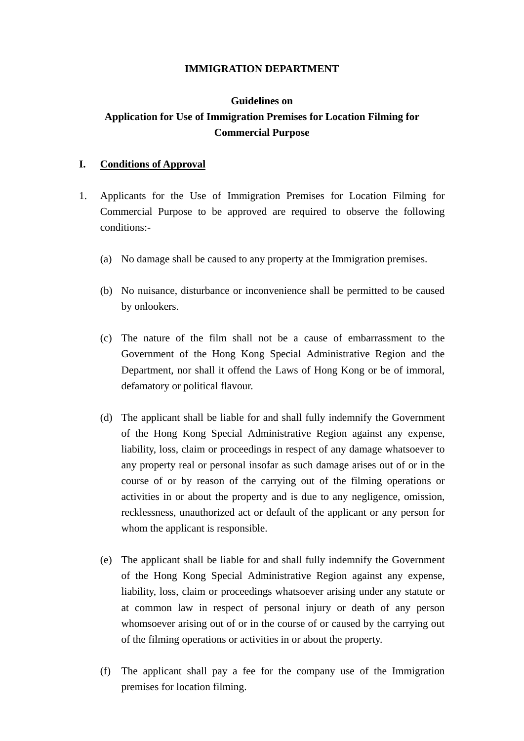#### **IMMIGRATION DEPARTMENT**

# **Guidelines on Application for Use of Immigration Premises for Location Filming for Commercial Purpose**

### **I. Conditions of Approval**

- 1. Applicants for the Use of Immigration Premises for Location Filming for Commercial Purpose to be approved are required to observe the following conditions:-
	- (a) No damage shall be caused to any property at the Immigration premises.
	- (b) No nuisance, disturbance or inconvenience shall be permitted to be caused by onlookers.
	- (c) The nature of the film shall not be a cause of embarrassment to the Government of the Hong Kong Special Administrative Region and the Department, nor shall it offend the Laws of Hong Kong or be of immoral, defamatory or political flavour.
	- (d) The applicant shall be liable for and shall fully indemnify the Government of the Hong Kong Special Administrative Region against any expense, liability, loss, claim or proceedings in respect of any damage whatsoever to any property real or personal insofar as such damage arises out of or in the course of or by reason of the carrying out of the filming operations or activities in or about the property and is due to any negligence, omission, recklessness, unauthorized act or default of the applicant or any person for whom the applicant is responsible.
	- (e) The applicant shall be liable for and shall fully indemnify the Government of the Hong Kong Special Administrative Region against any expense, liability, loss, claim or proceedings whatsoever arising under any statute or at common law in respect of personal injury or death of any person whomsoever arising out of or in the course of or caused by the carrying out of the filming operations or activities in or about the property.
	- (f) The applicant shall pay a fee for the company use of the Immigration premises for location filming.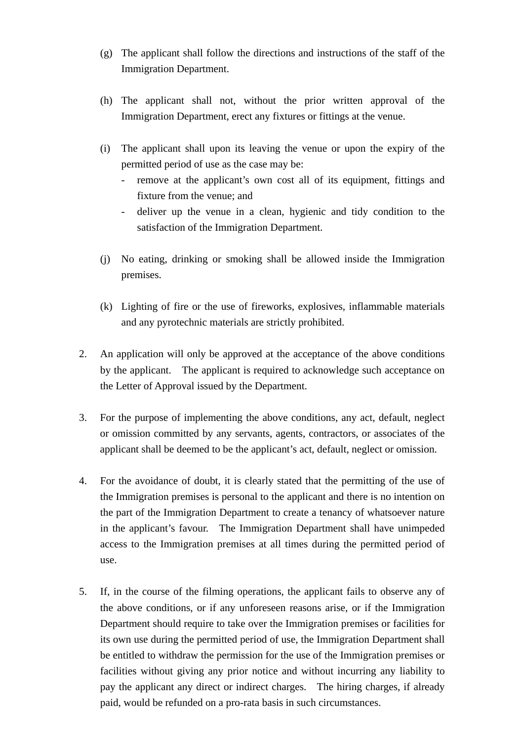- (g) The applicant shall follow the directions and instructions of the staff of the Immigration Department.
- (h) The applicant shall not, without the prior written approval of the Immigration Department, erect any fixtures or fittings at the venue.
- (i) The applicant shall upon its leaving the venue or upon the expiry of the permitted period of use as the case may be:
	- remove at the applicant's own cost all of its equipment, fittings and fixture from the venue; and
	- deliver up the venue in a clean, hygienic and tidy condition to the satisfaction of the Immigration Department.
- (j) No eating, drinking or smoking shall be allowed inside the Immigration premises.
- (k) Lighting of fire or the use of fireworks, explosives, inflammable materials and any pyrotechnic materials are strictly prohibited.
- 2. An application will only be approved at the acceptance of the above conditions by the applicant. The applicant is required to acknowledge such acceptance on the Letter of Approval issued by the Department.
- 3. For the purpose of implementing the above conditions, any act, default, neglect or omission committed by any servants, agents, contractors, or associates of the applicant shall be deemed to be the applicant's act, default, neglect or omission.
- 4. For the avoidance of doubt, it is clearly stated that the permitting of the use of the Immigration premises is personal to the applicant and there is no intention on the part of the Immigration Department to create a tenancy of whatsoever nature in the applicant's favour. The Immigration Department shall have unimpeded access to the Immigration premises at all times during the permitted period of use.
- 5. If, in the course of the filming operations, the applicant fails to observe any of the above conditions, or if any unforeseen reasons arise, or if the Immigration Department should require to take over the Immigration premises or facilities for its own use during the permitted period of use, the Immigration Department shall be entitled to withdraw the permission for the use of the Immigration premises or facilities without giving any prior notice and without incurring any liability to pay the applicant any direct or indirect charges. The hiring charges, if already paid, would be refunded on a pro-rata basis in such circumstances.